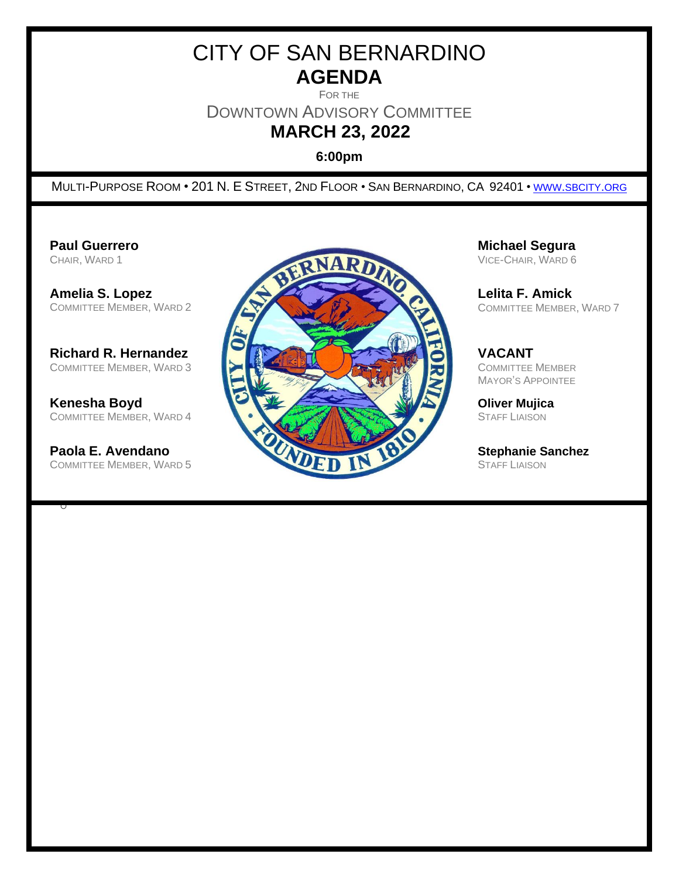# CITY OF SAN BERNARDINO **AGENDA**

FOR THE

DOWNTOWN ADVISORY COMMITTEE

**MARCH 23, 2022**

**6:00pm**

MULTI-PURPOSE ROOM • 201 N. E STREET, 2ND FLOOR • SAN BERNARDINO, CA 92401 • WWW.[SBCITY](http://www.sbcity.org/).ORG

COMMITTEE MEMBER, WARD 4

COMMITTEE MEMBER, WARD 5

o



VICE-CHAIR, WARD 6

COMMITTEE MEMBER, WARD 7

MAYOR'S APPOINTEE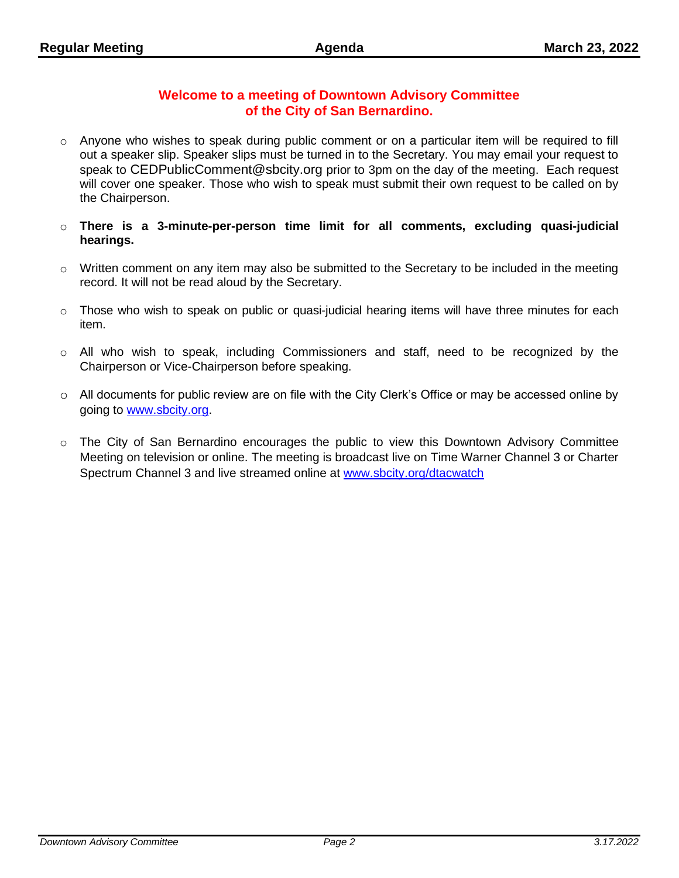## **Welcome to a meeting of Downtown Advisory Committee of the City of San Bernardino.**

- $\circ$  Anyone who wishes to speak during public comment or on a particular item will be required to fill out a speaker slip. Speaker slips must be turned in to the Secretary. You may email your request to speak to CEDPublicComment@sbcity.org prior to 3pm on the day of the meeting. Each request will cover one speaker. Those who wish to speak must submit their own request to be called on by the Chairperson.
- o **There is a 3-minute-per-person time limit for all comments, excluding quasi-judicial hearings.**
- o Written comment on any item may also be submitted to the Secretary to be included in the meeting record. It will not be read aloud by the Secretary.
- $\circ$  Those who wish to speak on public or quasi-judicial hearing items will have three minutes for each item.
- o All who wish to speak, including Commissioners and staff, need to be recognized by the Chairperson or Vice-Chairperson before speaking.
- $\circ$  All documents for public review are on file with the City Clerk's Office or may be accessed online by going to [www.sbcity.org.](file:///C:/Users/Maier_Jo/AppData/Local/Microsoft/Windows/Temporary%20Internet%20Files/Content.Outlook/MLV37WOO/www.sbcity.org)
- o The City of San Bernardino encourages the public to view this Downtown Advisory Committee Meeting on television or online. The meeting is broadcast live on Time Warner Channel 3 or Charter Spectrum Channel 3 and live streamed online at [www.sbcity.org/dtacwatch](http://www.sbcity.org/dtacwatch)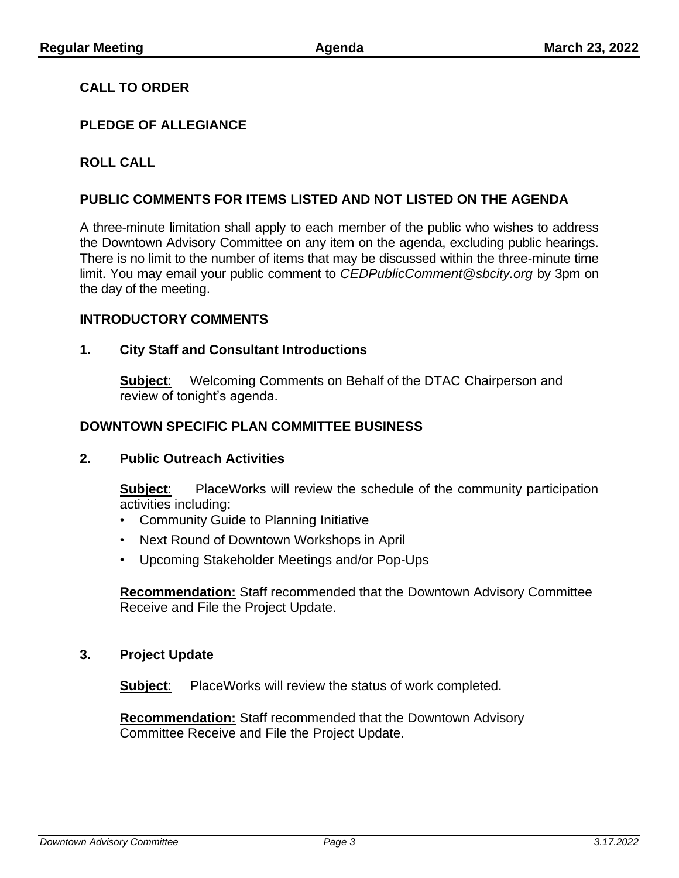## **CALL TO ORDER**

## **PLEDGE OF ALLEGIANCE**

## **ROLL CALL**

### **PUBLIC COMMENTS FOR ITEMS LISTED AND NOT LISTED ON THE AGENDA**

A three-minute limitation shall apply to each member of the public who wishes to address the Downtown Advisory Committee on any item on the agenda, excluding public hearings. There is no limit to the number of items that may be discussed within the three-minute time limit. You may email your public comment to *CEDPublicComment@sbcity.org* by 3pm on the day of the meeting.

#### **INTRODUCTORY COMMENTS**

#### **1. City Staff and Consultant Introductions**

**Subject**: Welcoming Comments on Behalf of the DTAC Chairperson and review of tonight's agenda.

#### **DOWNTOWN SPECIFIC PLAN COMMITTEE BUSINESS**

#### **2. Public Outreach Activities**

**Subject**: PlaceWorks will review the schedule of the community participation activities including:

- Community Guide to Planning Initiative
- Next Round of Downtown Workshops in April
- Upcoming Stakeholder Meetings and/or Pop-Ups

**Recommendation:** Staff recommended that the Downtown Advisory Committee Receive and File the Project Update.

#### **3. Project Update**

**Subject**: PlaceWorks will review the status of work completed.

**Recommendation:** Staff recommended that the Downtown Advisory Committee Receive and File the Project Update.